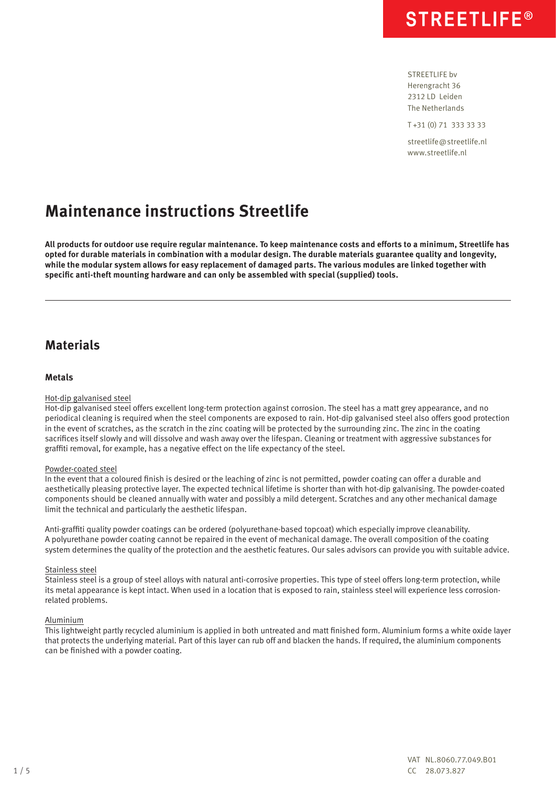STREETLIFF by Herengracht 36 2312 LD Leiden The Netherlands

T +31 (0) 71 333 33 33

streetlife@streetlife.nl www.streetlife.nl

## **Maintenance instructions Streetlife**

**All products for outdoor use require regular maintenance. To keep maintenance costs and efforts to a minimum, Streetlife has opted for durable materials in combination with a modular design. The durable materials guarantee quality and longevity, while the modular system allows for easy replacement of damaged parts. The various modules are linked together with specific anti-theft mounting hardware and can only be assembled with special (supplied) tools.**

## **Materials**

## **Metals**

## Hot-dip galvanised steel

Hot-dip galvanised steel offers excellent long-term protection against corrosion. The steel has a matt grey appearance, and no periodical cleaning is required when the steel components are exposed to rain. Hot-dip galvanised steel also offers good protection in the event of scratches, as the scratch in the zinc coating will be protected by the surrounding zinc. The zinc in the coating sacrifices itself slowly and will dissolve and wash away over the lifespan. Cleaning or treatment with aggressive substances for graffiti removal, for example, has a negative effect on the life expectancy of the steel.

## Powder-coated steel

In the event that a coloured finish is desired or the leaching of zinc is not permitted, powder coating can offer a durable and aesthetically pleasing protective layer. The expected technical lifetime is shorter than with hot-dip galvanising. The powder-coated components should be cleaned annually with water and possibly a mild detergent. Scratches and any other mechanical damage limit the technical and particularly the aesthetic lifespan.

Anti-graffiti quality powder coatings can be ordered (polyurethane-based topcoat) which especially improve cleanability. A polyurethane powder coating cannot be repaired in the event of mechanical damage. The overall composition of the coating system determines the quality of the protection and the aesthetic features. Our sales advisors can provide you with suitable advice.

#### Stainless steel

Stainless steel is a group of steel alloys with natural anti-corrosive properties. This type of steel offers long-term protection, while its metal appearance is kept intact. When used in a location that is exposed to rain, stainless steel will experience less corrosionrelated problems.

#### Aluminium

This lightweight partly recycled aluminium is applied in both untreated and matt finished form. Aluminium forms a white oxide layer that protects the underlying material. Part of this layer can rub off and blacken the hands. If required, the aluminium components can be finished with a powder coating.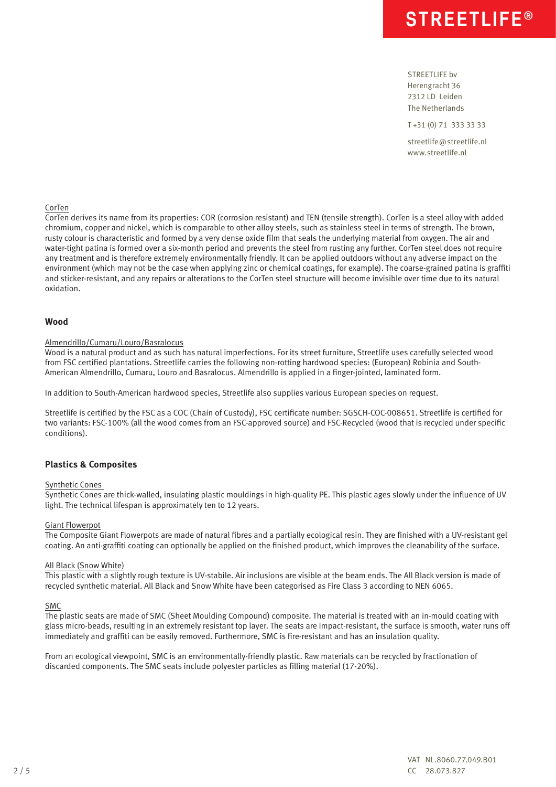STREETLIFE bv Herengracht 36 2312 LD Leiden The Netherlands

T +31 (0) 71 333 33 33

streetlife@streetlife.nl www.streetlife.nl

#### **CorTen**

CorTen derives its name from its properties: COR (corrosion resistant) and TEN (tensile strength). CorTen is a steel alloy with added chromium, copper and nickel, which is comparable to other alloy steels, such as stainless steel in terms of strength. The brown, rusty colour is characteristic and formed by a very dense oxide film that seals the underlying material from oxygen. The air and water-tight patina is formed over a six-month period and prevents the steel from rusting any further. CorTen steel does not require any treatment and is therefore extremely environmentally friendly. It can be applied outdoors without any adverse impact on the environment (which may not be the case when applying zinc or chemical coatings, for example). The coarse-grained patina is graffiti and sticker-resistant, and any repairs or alterations to the CorTen steel structure will become invisible over time due to its natural oxidation.

## **Wood**

#### Almendrillo/Cumaru/Louro/Basralocus

Wood is a natural product and as such has natural imperfections. For its street furniture, Streetlife uses carefully selected wood from FSC certified plantations. Streetlife carries the following non-rotting hardwood species: (European) Robinia and South-American Almendrillo, Cumaru, Louro and Basralocus. Almendrillo is applied in a finger-jointed, laminated form.

In addition to South-American hardwood species, Streetlife also supplies various European species on request.

Streetlife is certified by the FSC as a COC (Chain of Custody), FSC certificate number: SGSCH-COC-008651. Streetlife is certified for two variants: FSC-100% (all the wood comes from an FSC-approved source) and FSC-Recycled (wood that is recycled under specific conditions).

## **Plastics & Composites**

### Synthetic Cones

Synthetic Cones are thick-walled, insulating plastic mouldings in high-quality PE. This plastic ages slowly under the influence of UV light. The technical lifespan is approximately ten to 12 years.

#### Giant Flowerpot

The Composite Giant Flowerpots are made of natural fibres and a partially ecological resin. They are finished with a UV-resistant gel coating. An anti-graffiti coating can optionally be applied on the finished product, which improves the cleanability of the surface.

#### All Black (Snow White)

This plastic with a slightly rough texture is UV-stabile. Air inclusions are visible at the beam ends. The All Black version is made of recycled synthetic material. All Black and Snow White have been categorised as Fire Class 3 according to NEN 6065.

#### SMC

The plastic seats are made of SMC (Sheet Moulding Compound) composite. The material is treated with an in-mould coating with glass micro-beads, resulting in an extremely resistant top layer. The seats are impact-resistant, the surface is smooth, water runs off immediately and graffiti can be easily removed. Furthermore, SMC is fire-resistant and has an insulation quality.

From an ecological viewpoint, SMC is an environmentally-friendly plastic. Raw materials can be recycled by fractionation of discarded components. The SMC seats include polyester particles as filling material (17-20%).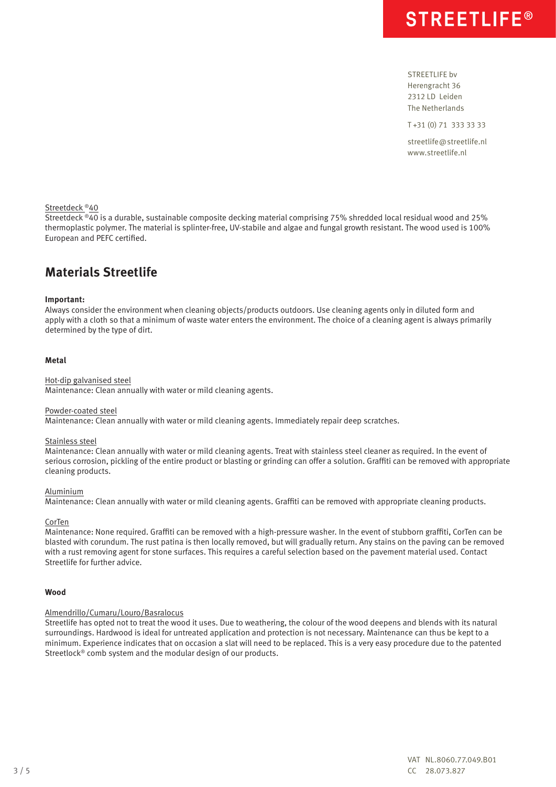STREETLIFE bv Herengracht 36 2312 LD Leiden The Netherlands

T +31 (0) 71 333 33 33

streetlife@streetlife.nl www.streetlife.nl

## Streetdeck ®40

Streetdeck ®40 is a durable, sustainable composite decking material comprising 75% shredded local residual wood and 25% thermoplastic polymer. The material is splinter-free, UV-stabile and algae and fungal growth resistant. The wood used is 100% European and PEFC certified.

## **Materials Streetlife**

#### **Important:**

Always consider the environment when cleaning objects/products outdoors. Use cleaning agents only in diluted form and apply with a cloth so that a minimum of waste water enters the environment. The choice of a cleaning agent is always primarily determined by the type of dirt.

### **Metal**

#### Hot-dip galvanised steel

Maintenance: Clean annually with water or mild cleaning agents.

#### Powder-coated steel

Maintenance: Clean annually with water or mild cleaning agents. Immediately repair deep scratches.

#### Stainless steel

Maintenance: Clean annually with water or mild cleaning agents. Treat with stainless steel cleaner as required. In the event of serious corrosion, pickling of the entire product or blasting or grinding can offer a solution. Graffiti can be removed with appropriate cleaning products.

#### **Aluminium**

Maintenance: Clean annually with water or mild cleaning agents. Graffiti can be removed with appropriate cleaning products.

#### CorTen

Maintenance: None required. Graffiti can be removed with a high-pressure washer. In the event of stubborn graffiti, CorTen can be blasted with corundum. The rust patina is then locally removed, but will gradually return. Any stains on the paving can be removed with a rust removing agent for stone surfaces. This requires a careful selection based on the pavement material used. Contact Streetlife for further advice.

#### **Wood**

#### Almendrillo/Cumaru/Louro/Basralocus

Streetlife has opted not to treat the wood it uses. Due to weathering, the colour of the wood deepens and blends with its natural surroundings. Hardwood is ideal for untreated application and protection is not necessary. Maintenance can thus be kept to a minimum. Experience indicates that on occasion a slat will need to be replaced. This is a very easy procedure due to the patented Streetlock® comb system and the modular design of our products.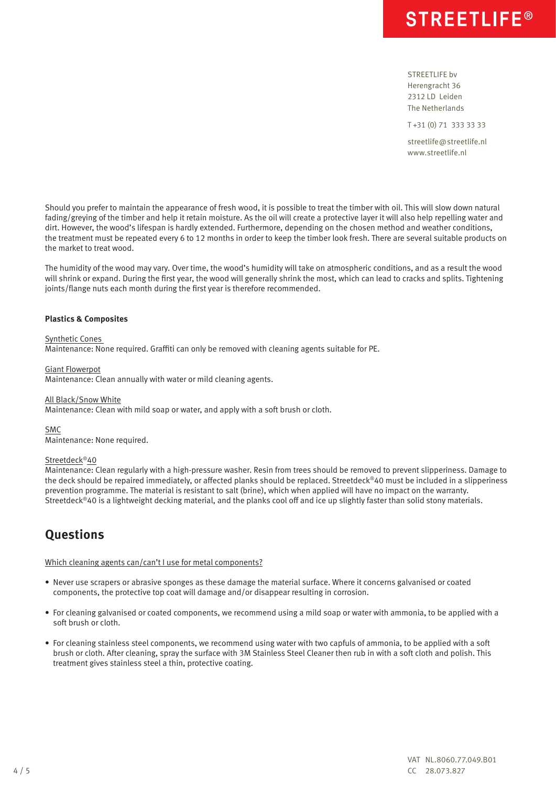STREETLIFE bv Herengracht 36 2312 LD Leiden The Netherlands

T +31 (0) 71 333 33 33

streetlife@streetlife.nl www.streetlife.nl

Should you prefer to maintain the appearance of fresh wood, it is possible to treat the timber with oil. This will slow down natural fading/greying of the timber and help it retain moisture. As the oil will create a protective layer it will also help repelling water and dirt. However, the wood's lifespan is hardly extended. Furthermore, depending on the chosen method and weather conditions, the treatment must be repeated every 6 to 12 months in order to keep the timber look fresh. There are several suitable products on the market to treat wood.

The humidity of the wood may vary. Over time, the wood's humidity will take on atmospheric conditions, and as a result the wood will shrink or expand. During the first year, the wood will generally shrink the most, which can lead to cracks and splits. Tightening joints/flange nuts each month during the first year is therefore recommended.

## **Plastics & Composites**

Synthetic Cones

Maintenance: None required. Graffiti can only be removed with cleaning agents suitable for PE.

Giant Flowerpot

Maintenance: Clean annually with water or mild cleaning agents.

#### All Black/Snow White

Maintenance: Clean with mild soap or water, and apply with a soft brush or cloth.

SMC

Maintenance: None required.

## Streetdeck®40

Maintenance: Clean regularly with a high-pressure washer. Resin from trees should be removed to prevent slipperiness. Damage to the deck should be repaired immediately, or affected planks should be replaced. Streetdeck®40 must be included in a slipperiness prevention programme. The material is resistant to salt (brine), which when applied will have no impact on the warranty. Streetdeck®40 is a lightweight decking material, and the planks cool off and ice up slightly faster than solid stony materials.

## **Questions**

Which cleaning agents can/can't I use for metal components?

- Never use scrapers or abrasive sponges as these damage the material surface. Where it concerns galvanised or coated components, the protective top coat will damage and/or disappear resulting in corrosion.
- For cleaning galvanised or coated components, we recommend using a mild soap or water with ammonia, to be applied with a soft brush or cloth.
- For cleaning stainless steel components, we recommend using water with two capfuls of ammonia, to be applied with a soft brush or cloth. After cleaning, spray the surface with 3M Stainless Steel Cleaner then rub in with a soft cloth and polish. This treatment gives stainless steel a thin, protective coating.